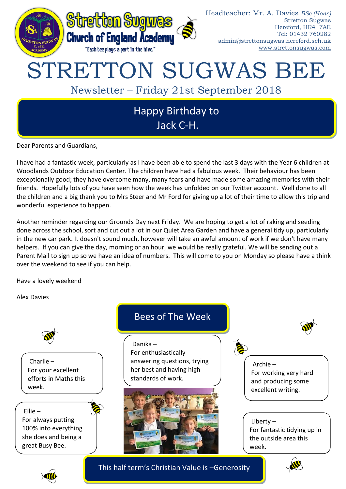

Dear Parents and Guardians,

I have had a fantastic week, particularly as I have been able to spend the last 3 days with the Year 6 children at Woodlands Outdoor Education Center. The children have had a fabulous week. Their behaviour has been exceptionally good; they have overcome many, many fears and have made some amazing memories with their friends. Hopefully lots of you have seen how the week has unfolded on our Twitter account. Well done to all the children and a big thank you to Mrs Steer and Mr Ford for giving up a lot of their time to allow this trip and wonderful experience to happen.

Another reminder regarding our Grounds Day next Friday. We are hoping to get a lot of raking and seeding done across the school, sort and cut out a lot in our Quiet Area Garden and have a general tidy up, particularly in the new car park. It doesn't sound much, however will take an awful amount of work if we don't have many helpers. If you can give the day, morning or an hour, we would be really grateful. We will be sending out a Parent Mail to sign up so we have an idea of numbers. This will come to you on Monday so please have a think over the weekend to see if you can help.

Have a lovely weekend

Alex Davies



For your excellent efforts in Maths this week.

Ellie – For always putting 100% into everything she does and being a great Busy Bee.





This half term's Christian Value is –Generosity